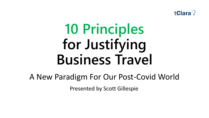

# **10 Principles for Justifying Business Travel**

A New Paradigm For Our Post-Covid World

Presented by Scott Gillespie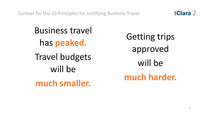Context for the 10 Principles for Justifying Business Travel



Business travel has **peaked.** Travel budgets will be **much smaller.** 

Getting trips approved will be **much harder.**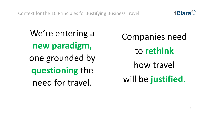Context for the 10 Principles for Justifying Business Travel

We're entering a **new paradigm,**  one grounded by **questioning** the need for travel.

Companies need to **rethink** how travel will be **justified.**

**tClara<sup>3</sup>**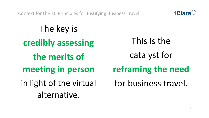Context for the 10 Principles for Justifying Business Travel

This is the catalyst for **reframing the need** for business travel. The key is **credibly assessing the merits of meeting in person** in light of the virtual alternative.

**tClara<sup>2</sup>**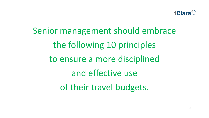

Senior management should embrace the following 10 principles to ensure a more disciplined and effective use of their travel budgets.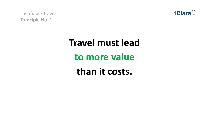

## **Travel must lead to more value than it costs.**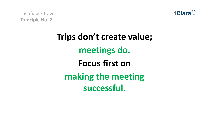

#### **Trips don't create value; meetings do. Focus first on making the meeting successful.**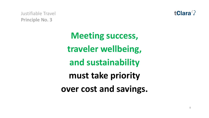

> **Meeting success, traveler wellbeing, and sustainability must take priority over cost and savings.**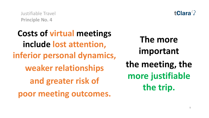

**Costs of virtual meetings include lost attention, inferior personal dynamics, weaker relationships and greater risk of poor meeting outcomes. The more important the meeting, the more justifiable the trip.**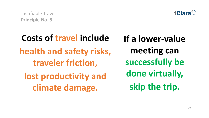**Costs of travel include health and safety risks, traveler friction, lost productivity and climate damage.** 



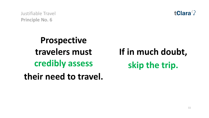

**Prospective travelers must credibly assess their need to travel.** 

**If in much doubt, skip the trip.**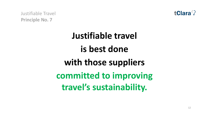

#### **Justifiable travel is best done with those suppliers committed to improving travel's sustainability.**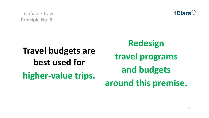

### **Travel budgets are best used for higher-value trips.**

**Redesign travel programs and budgets around this premise.**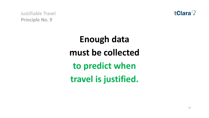

### **Enough data must be collected to predict when travel is justified.**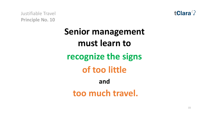

#### **Senior management must learn to recognize the signs of too little and too much travel.**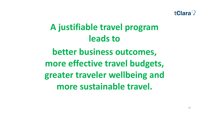

#### **A justifiable travel program leads to**

**better business outcomes, more effective travel budgets, greater traveler wellbeing and more sustainable travel.**